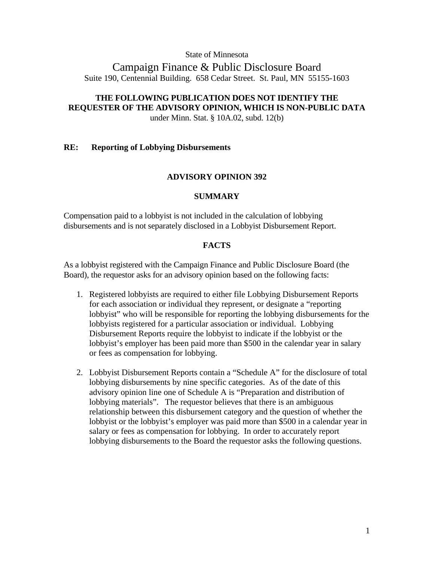State of Minnesota

# Campaign Finance & Public Disclosure Board Suite 190, Centennial Building. 658 Cedar Street. St. Paul, MN 55155-1603

# **THE FOLLOWING PUBLICATION DOES NOT IDENTIFY THE REQUESTER OF THE ADVISORY OPINION, WHICH IS NON-PUBLIC DATA**

under Minn. Stat. § 10A.02, subd. 12(b)

## **RE: Reporting of Lobbying Disbursements**

## **ADVISORY OPINION 392**

## **SUMMARY**

Compensation paid to a lobbyist is not included in the calculation of lobbying disbursements and is not separately disclosed in a Lobbyist Disbursement Report.

## **FACTS**

As a lobbyist registered with the Campaign Finance and Public Disclosure Board (the Board), the requestor asks for an advisory opinion based on the following facts:

- 1. Registered lobbyists are required to either file Lobbying Disbursement Reports for each association or individual they represent, or designate a "reporting lobbyist" who will be responsible for reporting the lobbying disbursements for the lobbyists registered for a particular association or individual. Lobbying Disbursement Reports require the lobbyist to indicate if the lobbyist or the lobbyist's employer has been paid more than \$500 in the calendar year in salary or fees as compensation for lobbying.
- 2. Lobbyist Disbursement Reports contain a "Schedule A" for the disclosure of total lobbying disbursements by nine specific categories. As of the date of this advisory opinion line one of Schedule A is "Preparation and distribution of lobbying materials". The requestor believes that there is an ambiguous relationship between this disbursement category and the question of whether the lobbyist or the lobbyist's employer was paid more than \$500 in a calendar year in salary or fees as compensation for lobbying. In order to accurately report lobbying disbursements to the Board the requestor asks the following questions.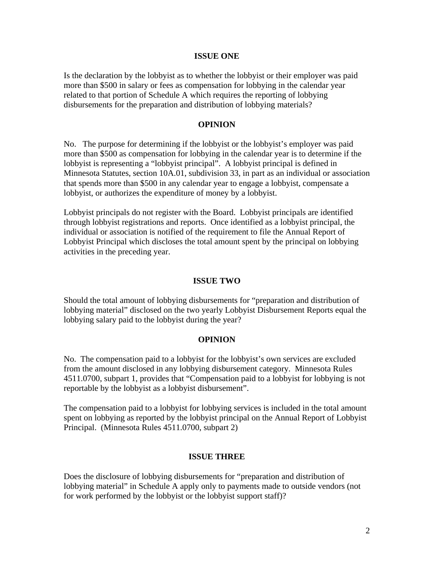## **ISSUE ONE**

Is the declaration by the lobbyist as to whether the lobbyist or their employer was paid more than \$500 in salary or fees as compensation for lobbying in the calendar year related to that portion of Schedule A which requires the reporting of lobbying disbursements for the preparation and distribution of lobbying materials?

## **OPINION**

No. The purpose for determining if the lobbyist or the lobbyist's employer was paid more than \$500 as compensation for lobbying in the calendar year is to determine if the lobbyist is representing a "lobbyist principal". A lobbyist principal is defined in Minnesota Statutes, section 10A.01, subdivision 33, in part as an individual or association that spends more than \$500 in any calendar year to engage a lobbyist, compensate a lobbyist, or authorizes the expenditure of money by a lobbyist.

Lobbyist principals do not register with the Board. Lobbyist principals are identified through lobbyist registrations and reports. Once identified as a lobbyist principal, the individual or association is notified of the requirement to file the Annual Report of Lobbyist Principal which discloses the total amount spent by the principal on lobbying activities in the preceding year.

## **ISSUE TWO**

Should the total amount of lobbying disbursements for "preparation and distribution of lobbying material" disclosed on the two yearly Lobbyist Disbursement Reports equal the lobbying salary paid to the lobbyist during the year?

## **OPINION**

No. The compensation paid to a lobbyist for the lobbyist's own services are excluded from the amount disclosed in any lobbying disbursement category. Minnesota Rules 4511.0700, subpart 1, provides that "Compensation paid to a lobbyist for lobbying is not reportable by the lobbyist as a lobbyist disbursement".

The compensation paid to a lobbyist for lobbying services is included in the total amount spent on lobbying as reported by the lobbyist principal on the Annual Report of Lobbyist Principal. (Minnesota Rules 4511.0700, subpart 2)

## **ISSUE THREE**

Does the disclosure of lobbying disbursements for "preparation and distribution of lobbying material" in Schedule A apply only to payments made to outside vendors (not for work performed by the lobbyist or the lobbyist support staff)?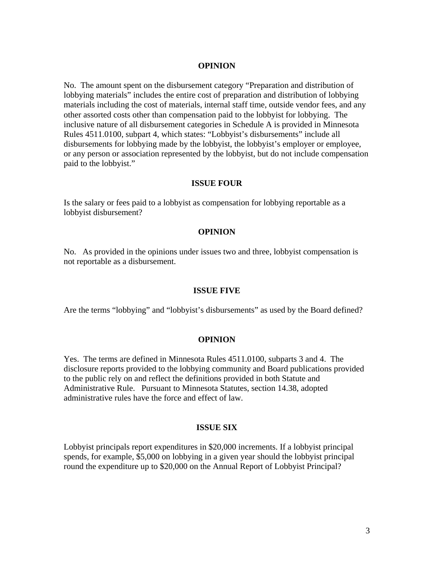#### **OPINION**

No. The amount spent on the disbursement category "Preparation and distribution of lobbying materials" includes the entire cost of preparation and distribution of lobbying materials including the cost of materials, internal staff time, outside vendor fees, and any other assorted costs other than compensation paid to the lobbyist for lobbying. The inclusive nature of all disbursement categories in Schedule A is provided in Minnesota Rules 4511.0100, subpart 4, which states: "Lobbyist's disbursements" include all disbursements for lobbying made by the lobbyist, the lobbyist's employer or employee, or any person or association represented by the lobbyist, but do not include compensation paid to the lobbyist."

## **ISSUE FOUR**

Is the salary or fees paid to a lobbyist as compensation for lobbying reportable as a lobbyist disbursement?

#### **OPINION**

No. As provided in the opinions under issues two and three, lobbyist compensation is not reportable as a disbursement.

#### **ISSUE FIVE**

Are the terms "lobbying" and "lobbyist's disbursements" as used by the Board defined?

#### **OPINION**

Yes. The terms are defined in Minnesota Rules 4511.0100, subparts 3 and 4. The disclosure reports provided to the lobbying community and Board publications provided to the public rely on and reflect the definitions provided in both Statute and Administrative Rule. Pursuant to Minnesota Statutes, section 14.38, adopted administrative rules have the force and effect of law.

#### **ISSUE SIX**

Lobbyist principals report expenditures in \$20,000 increments. If a lobbyist principal spends, for example, \$5,000 on lobbying in a given year should the lobbyist principal round the expenditure up to \$20,000 on the Annual Report of Lobbyist Principal?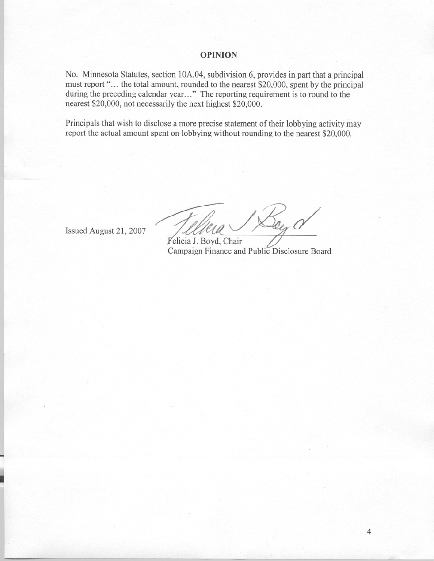## **OPINION**

No. Minnesota Statutes, section 10A.04, subdivision 6, provides in part that a principal must report "... the total amount, rounded to the nearest \$20,000, spent by the principal during the preceding calendar year..." The reporting requirement is to round to the nearest \$20,000, not necessarily the next highest \$20,000.

Principals that wish to disclose a more precise statement of their lobbying activity may report the actual amount spent on lobbying without rounding to the nearest \$20,000.

Issued August 21, 2007

See N

Felicia J. Boyd, Chair Campaign Finance and Public Disclosure Board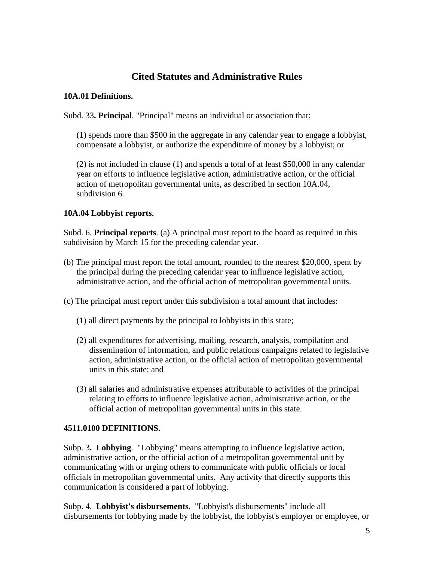# **Cited Statutes and Administrative Rules**

## **10A.01 Definitions.**

Subd. 33**. Principal**. "Principal" means an individual or association that:

(1) spends more than \$500 in the aggregate in any calendar year to engage a lobbyist, compensate a lobbyist, or authorize the expenditure of money by a lobbyist; or

 (2) is not included in clause (1) and spends a total of at least \$50,000 in any calendar year on efforts to influence legislative action, administrative action, or the official action of metropolitan governmental units, as described in section 10A.04, subdivision 6.

## **10A.04 Lobbyist reports.**

Subd. 6. **Principal reports**. (a) A principal must report to the board as required in this subdivision by March 15 for the preceding calendar year.

- (b) The principal must report the total amount, rounded to the nearest \$20,000, spent by the principal during the preceding calendar year to influence legislative action, administrative action, and the official action of metropolitan governmental units.
- (c) The principal must report under this subdivision a total amount that includes:
	- (1) all direct payments by the principal to lobbyists in this state;
	- (2) all expenditures for advertising, mailing, research, analysis, compilation and dissemination of information, and public relations campaigns related to legislative action, administrative action, or the official action of metropolitan governmental units in this state; and
	- (3) all salaries and administrative expenses attributable to activities of the principal relating to efforts to influence legislative action, administrative action, or the official action of metropolitan governmental units in this state.

# **4511.0100 DEFINITIONS.**

Subp. 3**. Lobbying**. "Lobbying" means attempting to influence legislative action, administrative action, or the official action of a metropolitan governmental unit by communicating with or urging others to communicate with public officials or local officials in metropolitan governmental units. Any activity that directly supports this communication is considered a part of lobbying.

Subp. 4. **Lobbyist's disbursements**. "Lobbyist's disbursements" include all disbursements for lobbying made by the lobbyist, the lobbyist's employer or employee, or